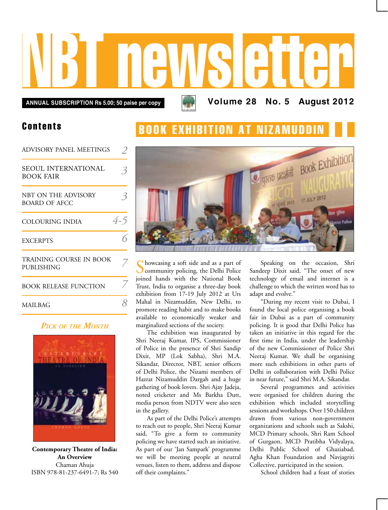# NBT newsletter

**Annual subscription Rs 5.00; 50 paise per copy Volume 28 No. 5 August 2012**

#### Contents

| <b>ADVISORY PANEL MEETINGS</b>          |     |
|-----------------------------------------|-----|
| SEOUL INTERNATIONAL<br><b>BOOK FAIR</b> | ろ   |
| NBT ON THE ADVISORY<br>BOARD OF AFCC    |     |
| COLOURING INDIA                         | 4-5 |
| <b>EXCERPTS</b>                         |     |
| TRAINING COURSE IN BOOK<br>PUBLISHING   |     |
| <b>BOOK RELEASE FUNCTION</b>            |     |
| <b>MAILBAG</b>                          |     |

#### *Pick of the Month*



**Contemporary Theatre of India: An Overview** Chaman Ahuja ISBN 978-81-237-6491-7; Rs 540

# **BOOK EXHIBITION AT NIZAMUDD**



Showcasing a soft side and as a part of community policing, the Delhi Police joined hands with the National Book Trust, India to organise a three-day book exhibition from 17-19 July 2012 at Urs Mahal in Nizamuddin, New Delhi, to promote reading habit and to make books available to economically weaker and marginalized sections of the society.

The exhibition was inaugurated by Shri Neeraj Kumar, IPS, Commissioner of Police in the presence of Shri Sandip Dixit, MP (Lok Sabha), Shri M.A. Sikandar, Director, NBT, senior officers of Delhi Police, the Nizami members of Hazrat Nizamuddin Dargah and a huge gathering of book lovers. Shri Ajay Jadeja, noted cricketer and Ms Barkha Dutt, media person from NDTV were also seen in the gallery.

As part of the Delhi Police's attempts to reach out to people, Shri Neeraj Kumar said, "To give a form to community policing we have started such an initiative. As part of our 'Jan Sampark' programme we will be meeting people at neutral venues, listen to them, address and dispose off their complaints."

Speaking on the occasion, Shri Sandeep Dixit said, "The onset of new technology of email and internet is a challenge to which the written word has to adapt and evolve."

"During my recent visit to Dubai, I found the local police organising a book fair in Dubai as a part of community policing. It is good that Delhi Police has taken an initiative in this regard for the first time in India, under the leadership of the new Commissioner of Police Shri Neeraj Kumar. We shall be organising more such exhibitions in other parts of Delhi in collaboration with Delhi Police in near future," said Shri M.A. Sikandar.

Several programmes and activities were organised for children during the exhibition which included storytelling sessions and workshops. Over 150 children drawn from various non-government organizations and schools such as Sakshi, MCD Primary schools, Shri Ram School of Gurgaon, MCD Pratibha Vidyalaya, Delhi Public School of Ghaziabad, Agha Khan Foundation and Navjagriti Collective, participated in the session.

School children had a feast of stories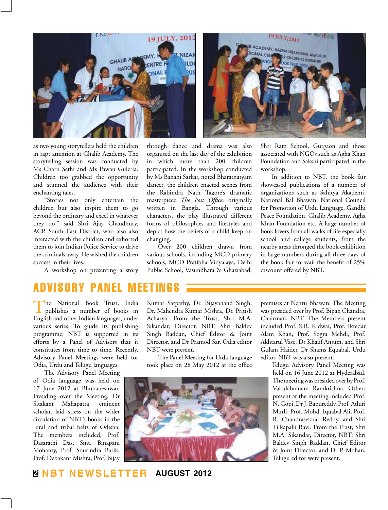



as two young storytellers held the children in rapt attention at Ghalib Academy. The storytelling session was conducted by Ms Charu Sethi and Ms Pawan Guleria. Children too grabbed the opportunity and stunned the audience with their enchanting tales.

"Stories not only entertain the children but also inspire them to go beyond the ordinary and excel in whatever they do," said Shri Ajay Chaudhury, ACP, South East District, who also also interacted with the children and exhorted them to join Indian Police Service to drive the criminals away. He wished the children success in their lives.

A workshop on presenting a story

through dance and drama was also organised on the last day of the exhibition in which more than 200 children participated. In the workshop conducted by Ms Banani Sarkar, noted Bharatnatyam dancer, the children enacted scenes from the Rabindra Nath Tagore's dramatic masterpiece *The Post Office*, originally written in Bangla. Through various characters, the play illustrated different forms of philosophies and lifestyles and depict how the beliefs of a child keep on changing.

Over 200 children drawn from various schools, including MCD primary schools, MCD Pratibha Vidyalaya, Delhi Public School, Vasundhara & Ghaziabad;

Shri Ram School, Gurgaon and those associated with NGOs such as Agha Khan Foundation and Sakshi participated in the workshop.

In addition to NBT, the book fair showcased publications of a number of organizations such as Sahitya Akademi, National Bal Bhawan, National Council for Promotion of Urdu Language, Gandhi Peace Foundation, Ghalib Academy, Agha Khan Foundation etc. A large number of book lovers from all walks of life especially school and college students, from the nearby areas thronged the book exhibition in large numbers during all three days of the book fair to avail the benefit of 25% discount offered by NBT.

### advisory panel

The National Book Trust, India publishes a number of books in English and other Indian languages, under various series. To guide its publishing programme; NBT is supported in its efforts by a Panel of Advisors that it constitutes from time to time. Recently, Advisory Panel Meetings were held for Odia, Urdu and Telugu languages.

The Advisory Panel Meeting of Odia language was held on 17 June 2012 at Bhubaneshwar. Presiding over the Meeting, Dr Sitakant Mahapatra, eminent scholar, laid stress on the wider circulation of NBT's books in the rural and tribal belts of Odisha. The members included, Prof. Dasarathi Das, Smt. Binapani Mohanty, Prof. Sourindra Barik, Prof. Debakant Mishra, Prof. Bijay

Kumar Satpathy, Dr. Bijayanand Singh, Dr. Mahendra Kumar Mishra, Dr. Pritish Acharya. From the Trust, Shri M.A. Sikandar, Director, NBT; Shri Baldev Singh Baddan, Chief Editor & Joint Director, and Dr Pramod Sar, Odia editor NBT were present.

The Panel Meeting for Urdu language took place on 28 May 2012 at the office



premises at Nehru Bhawan. The Meeting was presided over by Prof. Bipan Chandra, Chairman, NBT. The Members present included Prof. S.R. Kidwai, Prof. Iktedar Alam Khan, Prof. Sogra Mehdi, Prof. Akhtarul Vase, Dr Khalif Anjum, and Shri Gulam Haider. Dr Shams Equabal, Urdu editor, NBT was also present.

> Telugu Advisory Panel Meeting was held on 16 June 2012 at Hyderabad. The meeting was presided over by Prof. Vakulabranam Ramkrishna. Others present at the meeting included Prof. N. Gopi, Dr J. Bapureddy, Prof. Atluri Murli, Prof. Mohd. Iquabal Ali, Prof. R. Chandrasekhar Reddy, and Shri Tilkapalli Ravi. From the Trust, Shri M.A. Sikandar, Director, NBT; Shri Baldev Singh Baddan, Chief Editor & Joint Director, and Dr P. Mohan, Telugu editor were present.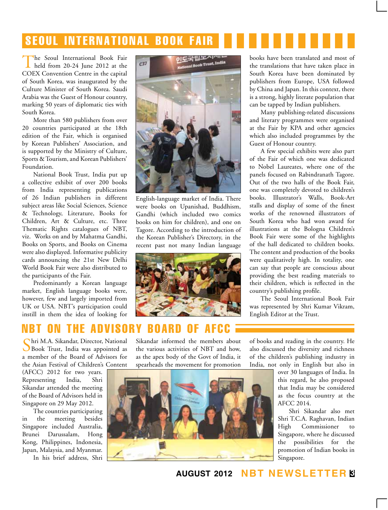# **SEOUL INTERNATIONAL BOOK FAIR**

The Seoul International Book Fair held from 20-24 June 2012 at the COEX Convention Centre in the capital of South Korea, was inaugurated by the Culture Minister of South Korea. Saudi Arabia was the Guest of Honour country, marking 50 years of diplomatic ties with South Korea.

More than 580 publishers from over 20 countries participated at the 18th edition of the Fair, which is organised by Korean Publishers' Association, and is supported by the Ministry of Culture, Sports & Tourism, and Korean Publishers' Foundation.

National Book Trust, India put up a collective exhibit of over 200 books from India representing publications of 26 Indian publishers in different subject areas like Social Sciences, Science & Technology, Literature, Books for Children, Art & Culture, etc. Three Thematic Rights catalogues of NBT, viz. Works on and by Mahatma Gandhi, Books on Sports, and Books on Cinema were also displayed. Informative publicity cards announcing the 21st New Delhi World Book Fair were also distributed to the participants of the Fair.

Predominantly a Korean language market, English language books were, however, few and largely imported from UK or USA. NBT's participation could instill in them the idea of looking for



English-language market of India. There were books on Upanishad, Buddhism, Gandhi (which included two comics books on him for children), and one on Tagore. According to the introduction of the Korean Publisher's Directory, in the recent past not many Indian language



books have been translated and most of the translations that have taken place in South Korea have been dominated by publishers from Europe, USA followed by China and Japan. In this context, there is a strong, highly literate population that can be tapped by Indian publishers.

Many publishing-related discussions and literary programmes were organised at the Fair by KPA and other agencies which also included programmes by the Guest of Honour country.

A few special exhibits were also part of the Fair of which one was dedicated to Nobel Laureates, where one of the panels focused on Rabindranath Tagore. Out of the two halls of the Book Fair, one was completely devoted to children's books. Illustrator's Walls, Book-Art stalls and display of some of the finest works of the renowned illustrators of South Korea who had won award for illustrations at the Bologna Children's Book Fair were some of the highlights of the hall dedicated to children books. The content and production of the books were qualitatively high. In totality, one can say that people are conscious about providing the best reading materials to their children, which is reflected in the country's publishing profile.

The Seoul International Book Fair was represented by Shri Kumar Vikram, English Editor at the Trust.

## NBT ON THE ADVISORY BOARD OF A

Shri M.A. Sikandar, Director, National Book Trust, India was appointed as a member of the Board of Advisors for the Asian Festival of Children's Content

(AFCC) 2012 for two years. Representing India, Shri Sikandar attended the meeting of the Board of Advisors held in Singapore on 29 May 2012.

The countries participating in the meeting besides Singapore included Australia, Brunei Darussalam, Hong Kong, Philippines, Indonesia, Japan, Malaysia, and Myanmar. In his brief address, Shri

Sikandar informed the members about the various activities of NBT and how, as the apex body of the Govt of India, it spearheads the movement for promotion

of books and reading in the country. He also discussed the diversity and richness of the children's publishing industry in India, not only in English but also in



over 30 languages of India. In this regard, he also proposed that India may be considered as the focus country at the AFCC 2014.

Shri Sikandar also met Shri T.C.A. Raghavan, Indian High Commissioner to Singapore, where he discussed the possibilities for the promotion of Indian books in Singapore.

**august 2012 NBT Newsletter 3**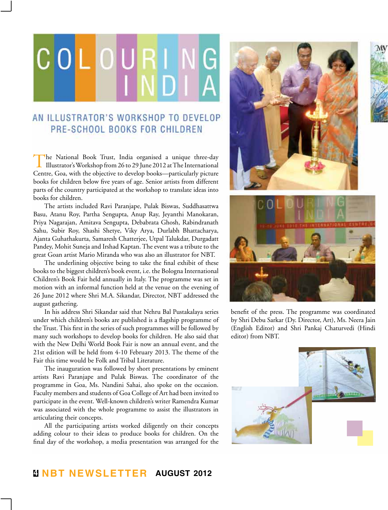# GIOIL

#### AN ILLUSTRATOR'S WORKSHOP TO DEVELOP PRE-SCHOOL BOOKS FOR CHILDREN

The National Book Trust, India organised a unique three-day Illustrator's Workshop from 26 to 29 June 2012 at The International Centre, Goa, with the objective to develop books—particularly picture books for children below five years of age. Senior artists from different parts of the country participated at the workshop to translate ideas into books for children.

The artists included Ravi Paranjape, Pulak Biswas, Suddhasattwa Basu, Atanu Roy, Partha Sengupta, Anup Ray, Jeyanthi Manokaran, Priya Nagarajan, Amitava Sengupta, Debabrata Ghosh, Rabindranath Sahu, Subir Roy, Shashi Shetye, Viky Arya, Durlabh Bhattacharya, Ajanta Guhathakurta, Samaresh Chatterjee, Utpal Talukdar, Durgadatt Pandey, Mohit Suneja and Irshad Kaptan. The event was a tribute to the great Goan artist Mario Miranda who was also an illustrator for NBT.

The underlining objective being to take the final exhibit of these books to the biggest children's book event, i.e. the Bologna International Children's Book Fair held annually in Italy. The programme was set in motion with an informal function held at the venue on the evening of 26 June 2012 where Shri M.A. Sikandar, Director, NBT addressed the august gathering.

In his address Shri Sikandar said that Nehru Bal Pustakalaya series under which children's books are published is a flagship programme of the Trust. This first in the series of such programmes will be followed by many such workshops to develop books for children. He also said that with the New Delhi World Book Fair is now an annual event, and the 21st edition will be held from 4-10 February 2013. The theme of the Fair this time would be Folk and Tribal Literature.

The inauguration was followed by short presentations by eminent artists Ravi Paranjape and Pulak Biswas. The coordinator of the programme in Goa, Ms. Nandini Sahai, also spoke on the occasion. Faculty members and students of Goa College of Art had been invited to participate in the event. Well-known children's writer Ramendra Kumar was associated with the whole programme to assist the illustrators in articulating their concepts.

All the participating artists worked diligently on their concepts adding colour to their ideas to produce books for children. On the final day of the workshop, a media presentation was arranged for the





benefit of the press. The programme was coordinated by Shri Debu Sarkar (Dy. Director, Art), Ms. Neera Jain (English Editor) and Shri Pankaj Chaturvedi (Hindi editor) from NBT.

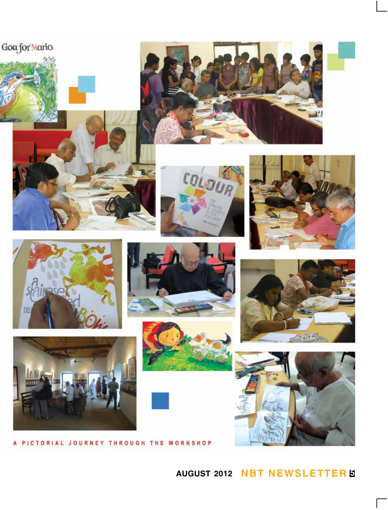



















PICTORIAL JOURNEY THROUGH THE WORKSHOP A



## **august 2012 NBT Newsletter 5**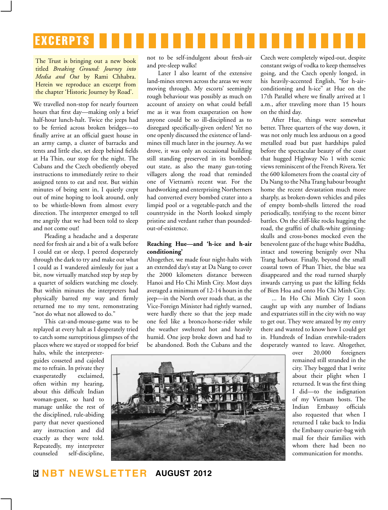

The Trust is bringing out a new book titled *Breaking Ground: Journey into Media and Out* by Rami Chhabra. Herein we reproduce an excerpt from the chapter 'Historic Journey by Road'.

We travelled non-stop for nearly fourteen hours that first day—making only a brief half-hour lunch-halt. Twice the jeeps had to be ferried across broken bridges—to finally arrive at an official guest house in an army camp, a cluster of barracks and tents and little else, set deep behind fields at Ha Thin, our stop for the night. The Cubans and the Czech obediently obeyed instructions to immediately retire to their assigned tents to eat and rest. But within minutes of being sent in, I quietly crept out of mine hoping to look around, only to be whistle-blown from almost every direction. The interpreter emerged to tell me angrily that we had been told to sleep and not come out!

Pleading a headache and a desperate need for fresh air and a bit of a walk before I could eat or sleep, I peered desperately through the dark to try and make out what I could as I wandered aimlessly for just a bit, now virtually matched step by step by a quartet of soldiers watching me closely. But within minutes the interpreters had physically barred my way and firmly returned me to my tent, remonstrating "not do what not allowed to do."

This cat-and-mouse-game was to be replayed at every halt as I desperately tried to catch some surreptitious glimpses of the places where we stayed or stopped for brief

halts, while the interpreterguides cosseted and cajoled me to refrain. In private they exasperatedly exclaimed, often within my hearing, about this difficult Indian woman-guest, so hard to manage unlike the rest of the disciplined, rule-abiding party that never questioned any instruction and did exactly as they were told. Repeatedly, my interpreter counseled self-discipline,

not to be self-indulgent about fresh-air and pre-sleep walks!

Later I also learnt of the extensive land-mines strewn across the areas we were moving through. My escorts' seemingly rough behaviour was possibly as much on account of anxiety on what could befall me as it was from exasperation on how anyone could be so ill-disciplined as to disregard specifically-given orders! Yet no one openly discussed the existence of landmines till much later in the journey. As we drove, it was only an occasional building still standing preserved in its bombedout state, as also the many gun-toting villagers along the road that reminded one of Vietnam's recent war. For the hardworking and enterprising Northerners had converted every bombed crater into a limpid pool or a vegetable-patch and the countryside in the North looked simply pristine and verdant rather than poundedout-of-existence.

#### **Reaching Hue—and 'h-ice and h-air conditioning'**

Altogether, we made four night-halts with an extended day's stay at Da Nang to cover the 2000 kilometers distance between Hanoi and Ho Chi Minh City. Most days averaged a minimum of 12-14 hours in the jeep—in the North over roads that, as the Vice-Foreign Minister had rightly warned, were hardly there so that the jeep made one feel like a bronco-horse-rider while the weather sweltered hot and heavily humid. One jeep broke down and had to be abandoned. Both the Cubans and the

Czech were completely wiped-out, despite constant swigs of vodka to keep themselves going, and the Czech openly longed, in his heavily-accented English, "for h-airconditioning and h-ice" at Hue on the 17th Parallel where we finally arrived at 1 a.m., after traveling more than 15 hours on the third day.

After Hue, things were somewhat better. Three quarters of the way down, it was not only much less arduous on a good metalled road but past hardships paled before the spectacular beauty of the coast that hugged Highway No 1 with scenic views reminiscent of the French Rivera. Yet the 600 kilometers from the coastal city of Da Nang to the Nha Trang habour brought home the recent devastation much more sharply, as broken-down vehicles and piles of empty bomb-shells littered the road periodically, testifying to the recent bitter battles. On the cliff-like rocks hugging the road, the graffiti of chalk-white grinningskulls and cross-bones mocked even the benevolent gaze of the huge white Buddha, intact and towering benignly over Nha Trang harbour. Finally, beyond the small coastal town of Phan Thiet, the blue sea disappeared and the road turned sharply inwards carrying us past the killing fields of Bien Hoa and onto Ho Chi Minh City.

... In Ho Chi Minh City I soon caught up with any number of Indians and expatriates still in the city with no way to get out. They were amazed by my entry there and wanted to know how I could get in. Hundreds of Indian erstwhile-traders desperately wanted to leave. Altogether,

> over 20,000 foreigners remained still stranded in the city. They begged that I write about their plight when I returned. It was the first thing I did—to the indignation of my Vietnam hosts. The Indian Embassy officials also requested that when I returned I take back to India the Embassy courier-bag with mail for their families with whom there had been no communication for months.

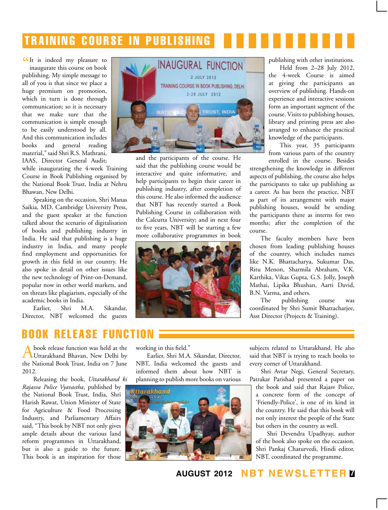# **TRAINING COURSE IN PUBLISHING**

**CCI**t is indeed my pleasure to inaugurate this course on book inaugurate this course on book publishing. My simple message to all of you is that since we place a huge premium on promotion, which in turn is done through communication; so it is necessary that we make sure that the communication is simple enough to be easily understood by all. And this communication includes books and general reading material," said Shri R.S. Mathrani, IAAS, Director General Audit;

while inaugurating the 4-week Training Course in Book Publishing organised by the National Book Trust, India at Nehru Bhawan, New Delhi.

Speaking on the occasion, Shri Manas Saikia, MD, Cambridge University Press, and the guest speaker at the function talked about the scenario of digitalisation of books and publishing industry in India. He said that publishing is a huge industry in India, and many people find employment and opportunities for growth in this field in our country. He also spoke in detail on other issues like the new technology of Print-on-Demand, popular now in other world markets, and on threats like plagiarism, especially of the academic books in India.

Earlier, Shri M.A. Sikandar, Director, NBT welcomed the guests



and the participants of the course. He said that the publishing course would be interactive and quite informative, and help participants to begin their career in publishing industry, after completion of this course. He also informed the audience that NBT has recently started a Book Publishing Course in collaboration with the Calcutta University; and in next four to five years, NBT will be starting a few more collaborative programmes in book



publishing with other institutions.

Held from 2–28 July 2012, the 4-week Course is aimed at giving the participants an overview of publishing. Hands-on experience and interactive sessions form an important segment of the course. Visits to publishing houses, library and printing press are also arranged to enhance the practical knowledge of the participants.

This year, 35 participants from various parts of the country

enrolled in the course. Besides strengthening the knowledge in different aspects of publishing, the course also helps the participants to take up publishing as a career. As has been the practice, NBT as part of its arrangement with major publishing houses, would be sending the participants there as interns for two months; after the completion of the course.

The faculty members have been chosen from leading publishing houses of the country, which includes names like N.K. Bhattacharya, Sukumar Das, Ritu Menon, Sharmila Abraham, V.K. Karthika, Vikas Gupta, G.S. Jolly, Joseph Mathai, Lipika Bhushan, Aarti David, B.N. Varma, and others.

The publishing course was coordinated by Shri Sumit Bhattacharjee, Asst Director (Projects & Training).

#### **book release fun**

A book release function was held at the Uttarakhand Bhavan, New Delhi by the National Book Trust, India on 7 June 2012.

Releasing the book, *Uttarakhand ki Rajasva Police Vyavastha*, published by the National Book Trust, India, Shri Harish Rawat, Union Minister of State for Agriculture & Food Processing Industry, and Parliamentary Affairs said, "This book by NBT not only gives ample details about the various land reform programmes in Uttarakhand, but is also a guide to the future. This book is an inspiration for those

working in this field."

Earlier, Shri M.A. Sikandar, Director, NBT, India welcomed the guests and informed them about how NBT is planning to publish more books on various



subjects related to Uttarakhand. He also said that NBT is trying to reach books to every corner of Uttarakhand.

Shri Avtar Negi, General Secretary, Patrakar Parishad presented a paper on

the book and said that Rajasv Police, a concrete form of the concept of 'Friendly-Police', is one of its kind in the country. He said that this book will not only interest the people of the State but others in the country as well.

Shri Devendra Upadhyay, author of the book also spoke on the occasion. Shri Pankaj Chaturvedi, Hindi editor, NBT, coordinated the programme.

**august 2012 NBT Newsletter 7**